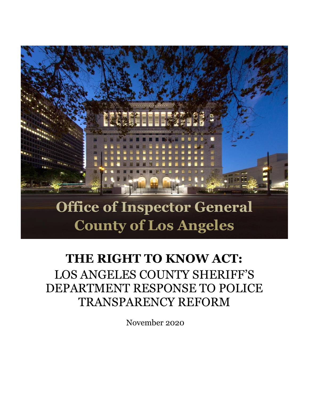

# **County of Los Angeles**

# **THE RIGHT TO KNOW ACT:** LOS ANGELES COUNTY SHERIFF'S DEPARTMENT RESPONSE TO POLICE TRANSPARENCY REFORM

November 2020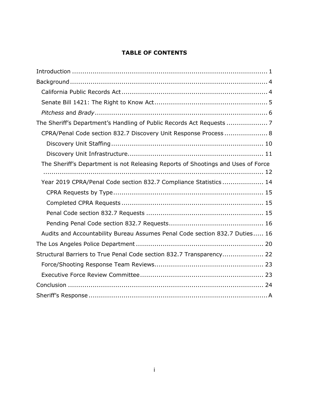#### **TABLE OF CONTENTS**

| CPRA/Penal Code section 832.7 Discovery Unit Response Process  8                 |  |
|----------------------------------------------------------------------------------|--|
|                                                                                  |  |
|                                                                                  |  |
| The Sheriff's Department is not Releasing Reports of Shootings and Uses of Force |  |
|                                                                                  |  |
| Year 2019 CPRA/Penal Code section 832.7 Compliance Statistics 14                 |  |
|                                                                                  |  |
|                                                                                  |  |
|                                                                                  |  |
|                                                                                  |  |
| Audits and Accountability Bureau Assumes Penal Code section 832.7 Duties 16      |  |
|                                                                                  |  |
| Structural Barriers to True Penal Code section 832.7 Transparency 22             |  |
|                                                                                  |  |
|                                                                                  |  |
|                                                                                  |  |
|                                                                                  |  |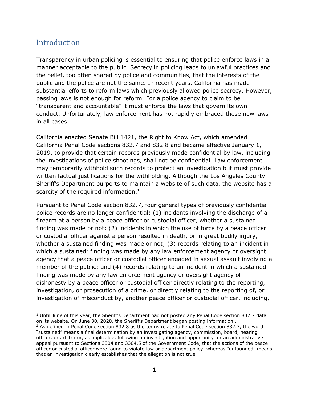# <span id="page-2-0"></span>Introduction

Transparency in urban policing is essential to ensuring that police enforce laws in a manner acceptable to the public. Secrecy in policing leads to unlawful practices and the belief, too often shared by police and communities, that the interests of the public and the police are not the same. In recent years, California has made substantial efforts to reform laws which previously allowed police secrecy. However, passing laws is not enough for reform. For a police agency to claim to be "transparent and accountable" it must enforce the laws that govern its own conduct. Unfortunately, law enforcement has not rapidly embraced these new laws in all cases.

California enacted Senate Bill 1421, the Right to Know Act, which amended California Penal Code sections 832.7 and 832.8 and became effective January 1, 2019, to provide that certain records previously made confidential by law, including the investigations of police shootings, shall not be confidential. Law enforcement may temporarily withhold such records to protect an investigation but must provide written factual justifications for the withholding. Although the Los Angeles County Sheriff's Department purports to maintain a website of such data, the website has a scarcity of the required information.<sup>1</sup>

Pursuant to Penal Code section 832.7, four general types of previously confidential police records are no longer confidential: (1) incidents involving the discharge of a firearm at a person by a peace officer or custodial officer, whether a sustained finding was made or not; (2) incidents in which the use of force by a peace officer or custodial officer against a person resulted in death, or in great bodily injury, whether a sustained finding was made or not; (3) records relating to an incident in which a sustained<sup>2</sup> finding was made by any law enforcement agency or oversight agency that a peace officer or custodial officer engaged in sexual assault involving a member of the public; and (4) records relating to an incident in which a sustained finding was made by any law enforcement agency or oversight agency of dishonesty by a peace officer or custodial officer directly relating to the reporting, investigation, or prosecution of a crime, or directly relating to the reporting of, or investigation of misconduct by, another peace officer or custodial officer, including,

 $1$  Until June of this year, the Sheriff's Department had not posted any Penal Code section 832.7 data on its website. On June 30, 2020, the Sheriff's Department began posting information..

 $2$  As defined in Penal Code section 832.8 as the terms relate to Penal Code section 832.7, the word "sustained" means a final determination by an investigating agency, commission, board, hearing officer, or arbitrator, as applicable, following an investigation and opportunity for an administrative appeal pursuant to Sections 3304 and 3304.5 of the Government Code, that the actions of the peace officer or custodial officer were found to violate law or department policy, whereas "unfounded" means that an investigation clearly establishes that the allegation is not true.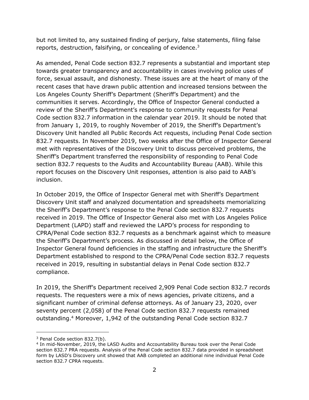but not limited to, any sustained finding of perjury, false statements, filing false reports, destruction, falsifying, or concealing of evidence.<sup>3</sup>

As amended, Penal Code section 832.7 represents a substantial and important step towards greater transparency and accountability in cases involving police uses of force, sexual assault, and dishonesty. These issues are at the heart of many of the recent cases that have drawn public attention and increased tensions between the Los Angeles County Sheriff's Department (Sheriff's Department) and the communities it serves. Accordingly, the Office of Inspector General conducted a review of the Sheriff's Department's response to community requests for Penal Code section 832.7 information in the calendar year 2019. It should be noted that from January 1, 2019, to roughly November of 2019, the Sheriff's Department's Discovery Unit handled all Public Records Act requests, including Penal Code section 832.7 requests. In November 2019, two weeks after the Office of Inspector General met with representatives of the Discovery Unit to discuss perceived problems, the Sheriff's Department transferred the responsibility of responding to Penal Code section 832.7 requests to the Audits and Accountability Bureau (AAB). While this report focuses on the Discovery Unit responses, attention is also paid to AAB's inclusion.

In October 2019, the Office of Inspector General met with Sheriff's Department Discovery Unit staff and analyzed documentation and spreadsheets memorializing the Sheriff's Department's response to the Penal Code section 832.7 requests received in 2019. The Office of Inspector General also met with Los Angeles Police Department (LAPD) staff and reviewed the LAPD's process for responding to CPRA/Penal Code section 832.7 requests as a benchmark against which to measure the Sheriff's Department's process. As discussed in detail below, the Office of Inspector General found deficiencies in the staffing and infrastructure the Sheriff's Department established to respond to the CPRA/Penal Code section 832.7 requests received in 2019, resulting in substantial delays in Penal Code section 832.7 compliance.

In 2019, the Sheriff's Department received 2,909 Penal Code section 832.7 records requests. The requesters were a mix of news agencies, private citizens, and a significant number of criminal defense attorneys. As of January 23, 2020, over seventy percent (2,058) of the Penal Code section 832.7 requests remained outstanding.<sup>4</sup> Moreover, 1,942 of the outstanding Penal Code section 832.7

<sup>3</sup> Penal Code section 832.7(b).

<sup>4</sup> In mid-November, 2019, the LASD Audits and Accountability Bureau took over the Penal Code section 832.7 PRA requests. Analysis of the Penal Code section 832.7 data provided in spreadsheet form by LASD's Discovery unit showed that AAB completed an additional nine individual Penal Code section 832.7 CPRA requests.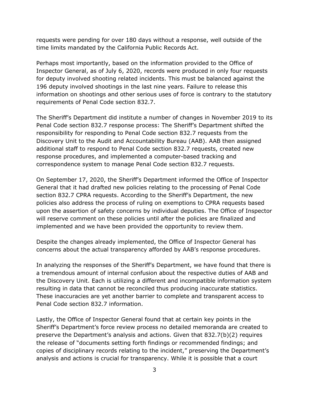requests were pending for over 180 days without a response, well outside of the time limits mandated by the California Public Records Act.

Perhaps most importantly, based on the information provided to the Office of Inspector General, as of July 6, 2020, records were produced in only four requests for deputy involved shooting related incidents. This must be balanced against the 196 deputy involved shootings in the last nine years. Failure to release this information on shootings and other serious uses of force is contrary to the statutory requirements of Penal Code section 832.7.

The Sheriff's Department did institute a number of changes in November 2019 to its Penal Code section 832.7 response process: The Sheriff's Department shifted the responsibility for responding to Penal Code section 832.7 requests from the Discovery Unit to the Audit and Accountability Bureau (AAB). AAB then assigned additional staff to respond to Penal Code section 832.7 requests, created new response procedures, and implemented a computer-based tracking and correspondence system to manage Penal Code section 832.7 requests.

On September 17, 2020, the Sheriff's Department informed the Office of Inspector General that it had drafted new policies relating to the processing of Penal Code section 832.7 CPRA requests. According to the Sheriff's Department, the new policies also address the process of ruling on exemptions to CPRA requests based upon the assertion of safety concerns by individual deputies. The Office of Inspector will reserve comment on these policies until after the policies are finalized and implemented and we have been provided the opportunity to review them.

Despite the changes already implemented, the Office of Inspector General has concerns about the actual transparency afforded by AAB's response procedures.

In analyzing the responses of the Sheriff's Department, we have found that there is a tremendous amount of internal confusion about the respective duties of AAB and the Discovery Unit. Each is utilizing a different and incompatible information system resulting in data that cannot be reconciled thus producing inaccurate statistics. These inaccuracies are yet another barrier to complete and transparent access to Penal Code section 832.7 information.

Lastly, the Office of Inspector General found that at certain key points in the Sheriff's Department's force review process no detailed memoranda are created to preserve the Department's analysis and actions. Given that 832.7(b)(2) requires the release of "documents setting forth findings or recommended findings; and copies of disciplinary records relating to the incident," preserving the Department's analysis and actions is crucial for transparency. While it is possible that a court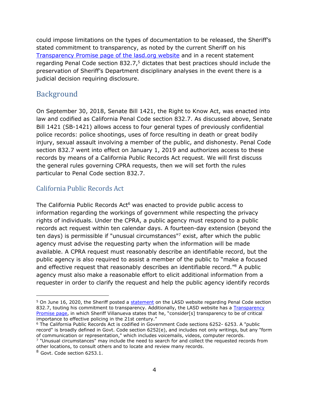could impose limitations on the types of documentation to be released, the Sheriff's stated commitment to transparency, as noted by the current Sheriff on his [Transparency Promise page of the lasd.org](https://lasd.org/transparency/) website and in a recent statement regarding Penal Code section 832.7,<sup>5</sup> dictates that best practices should include the preservation of Sheriff's Department disciplinary analyses in the event there is a judicial decision requiring disclosure.

# <span id="page-5-0"></span>Background

On September 30, 2018, Senate Bill 1421, the Right to Know Act, was enacted into law and codified as California Penal Code section 832.7. As discussed above, Senate Bill 1421 (SB-1421) allows access to four general types of previously confidential police records: police shootings, uses of force resulting in death or great bodily injury, sexual assault involving a member of the public, and dishonesty. Penal Code section 832.7 went into effect on January 1, 2019 and authorizes access to these records by means of a California Public Records Act request. We will first discuss the general rules governing CPRA requests, then we will set forth the rules particular to Penal Code section 832.7.

### <span id="page-5-1"></span>California Public Records Act

The California Public Records Act<sup>6</sup> was enacted to provide public access to information regarding the workings of government while respecting the privacy rights of individuals. Under the CPRA, a public agency must respond to a public records act request within ten calendar days. A fourteen-day extension (beyond the ten days) is permissible if "unusual circumstances"<sup>7</sup> exist, after which the public agency must advise the requesting party when the information will be made available. A CPRA request must reasonably describe an identifiable record, but the public agency is also required to assist a member of the public to "make a focused and effective request that reasonably describes an identifiable record." <sup>8</sup> A public agency must also make a reasonable effort to elicit additional information from a requester in order to clarify the request and help the public agency identify records

<sup>&</sup>lt;sup>5</sup> On June 16, 2020, the Sheriff posted a [statement](https://lasd.org/sb-1421-compliance/) on the LASD website regarding Penal Code section 832.7, touting his commitment to transparency. Additionally, the LASD website has a Transparency [Promise page](https://lasd.org/transparency/), in which Sheriff Villanueva states that he, "consider[s] transparency to be of critical importance to effective policing in the 21st century."

<sup>6</sup> The California Public Records Act is codified in Government Code sections 6252- 6253. A "public record" is broadly defined in Govt. Code section 6252(e), and includes not only writings, but any "form of communication or representation," which includes voicemails, videos, computer records.  $7$  "Unusual circumstances" may include the need to search for and collect the requested records from other locations, to consult others and to locate and review many records.

<sup>&</sup>lt;sup>8</sup> Govt. Code section 6253.1.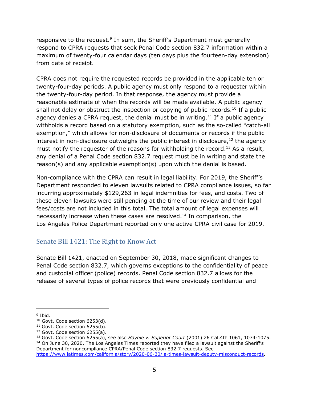responsive to the request.<sup>9</sup> In sum, the Sheriff's Department must generally respond to CPRA requests that seek Penal Code section 832.7 information within a maximum of twenty-four calendar days (ten days plus the fourteen-day extension) from date of receipt.

CPRA does not require the requested records be provided in the applicable ten or twenty-four-day periods. A public agency must only respond to a requester within the twenty-four-day period. In that response, the agency must provide a reasonable estimate of when the records will be made available. A public agency shall not delay or obstruct the inspection or copying of public records.<sup>10</sup> If a public agency denies a CPRA request, the denial must be in writing.<sup>11</sup> If a public agency withholds a record based on a statutory exemption, such as the so-called "catch-all exemption," which allows for non-disclosure of documents or records if the public interest in non-disclosure outweighs the public interest in disclosure,  $12$  the agency must notify the requester of the reasons for withholding the record.<sup>13</sup> As a result, any denial of a Penal Code section 832.7 request must be in writing and state the reason(s) and any applicable exemption(s) upon which the denial is based.

Non-compliance with the CPRA can result in legal liability. For 2019, the Sheriff's Department responded to eleven lawsuits related to CPRA compliance issues, so far incurring approximately \$129,263 in legal indemnities for fees, and costs. Two of these eleven lawsuits were still pending at the time of our review and their legal fees/costs are not included in this total. The total amount of legal expenses will necessarily increase when these cases are resolved. <sup>14</sup> In comparison, the Los Angeles Police Department reported only one active CPRA civil case for 2019.

#### <span id="page-6-0"></span>Senate Bill 1421: The Right to Know Act

Senate Bill 1421, enacted on September 30, 2018, made significant changes to Penal Code section 832.7, which governs exceptions to the confidentiality of peace and custodial officer (police) records. Penal Code section 832.7 allows for the release of several types of police records that were previously confidential and

<sup>&</sup>lt;sup>9</sup> Ibid.

<sup>&</sup>lt;sup>10</sup> Govt. Code section 6253(d).

 $11$  Govt. Code section 6255(b).

 $12$  Govt. Code section 6255(a).

<sup>13</sup> Govt. Code section 6255(a), see also *Haynie v. Superior Court* (2001) 26 Cal.4th 1061, 1074-1075. <sup>14</sup> On June 30, 2020, The Los Angeles Times reported they have filed a lawsuit against the Sheriff's Department for noncompliance CPRA/Penal Code section 832.7 requests. See [https://www.latimes.com/california/story/2020-06-30/la-times-lawsuit-deputy-misconduct-records.](https://www.latimes.com/california/story/2020-06-30/la-times-lawsuit-deputy-misconduct-records)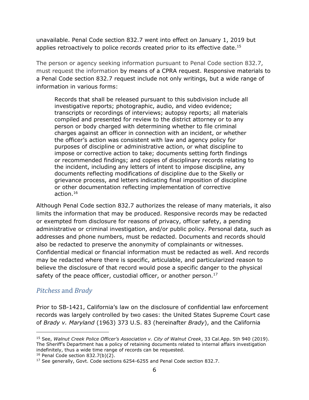unavailable. Penal Code section 832.7 went into effect on January 1, 2019 but applies retroactively to police records created prior to its effective date. 15

The person or agency seeking information pursuant to Penal Code section 832.7, must request the information by means of a CPRA request. Responsive materials to a Penal Code section 832.7 request include not only writings, but a wide range of information in various forms:

Records that shall be released pursuant to this subdivision include all investigative reports; photographic, audio, and video evidence; transcripts or recordings of interviews; autopsy reports; all materials compiled and presented for review to the district attorney or to any person or body charged with determining whether to file criminal charges against an officer in connection with an incident, or whether the officer's action was consistent with law and agency policy for purposes of discipline or administrative action, or what discipline to impose or corrective action to take; documents setting forth findings or recommended findings; and copies of disciplinary records relating to the incident, including any letters of intent to impose discipline, any documents reflecting modifications of discipline due to the Skelly or grievance process, and letters indicating final imposition of discipline or other documentation reflecting implementation of corrective action.<sup>16</sup>

Although Penal Code section 832.7 authorizes the release of many materials, it also limits the information that may be produced. Responsive records may be redacted or exempted from disclosure for reasons of privacy, officer safety, a pending administrative or criminal investigation, and/or public policy. Personal data, such as addresses and phone numbers, must be redacted. Documents and records should also be redacted to preserve the anonymity of complainants or witnesses. Confidential medical or financial information must be redacted as well. And records may be redacted where there is specific, articulable, and particularized reason to believe the disclosure of that record would pose a specific danger to the physical safety of the peace officer, custodial officer, or another person. $17$ 

#### <span id="page-7-0"></span>*Pitchess* and *Brady*

Prior to SB-1421, California's law on the disclosure of confidential law enforcement records was largely controlled by two cases: the United States Supreme Court case of *Brady v. Maryland* (1963) 373 U.S. 83 (hereinafter *Brady*), and the California

 $16$  Penal Code section 832.7(b)(2).

<sup>15</sup> See, *Walnut Creek Police Officer's Association v. City of Walnut Creek*, 33 Cal.App. 5th 940 (2019). The Sheriff's Department has a policy of retaining documents related to internal affairs investigation indefinitely, thus a wide time range of records can be requested.

<sup>&</sup>lt;sup>17</sup> See generally, Govt. Code sections 6254-6255 and Penal Code section 832.7.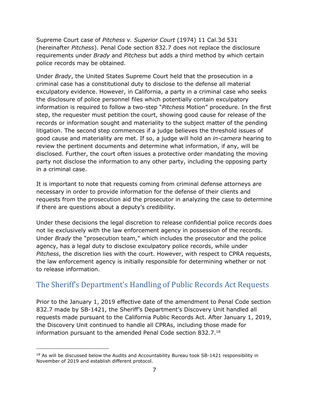Supreme Court case of *Pitchess v. Superior Court* (1974) 11 Cal.3d 531 (hereinafter *Pitchess*). Penal Code section 832.7 does not replace the disclosure requirements under *Brady* and *Pitchess* but adds a third method by which certain police records may be obtained.

Under *Brady*, the United States Supreme Court held that the prosecution in a criminal case has a constitutional duty to disclose to the defense all material exculpatory evidence. However, in California, a party in a criminal case who seeks the disclosure of police personnel files which potentially contain exculpatory information is required to follow a two-step "*Pitchess* Motion" procedure. In the first step, the requester must petition the court, showing good cause for release of the records or information sought and materiality to the subject matter of the pending litigation. The second step commences if a judge believes the threshold issues of good cause and materiality are met. If so, a judge will hold an *in-camera* hearing to review the pertinent documents and determine what information, if any, will be disclosed. Further, the court often issues a protective order mandating the moving party not disclose the information to any other party, including the opposing party in a criminal case.

It is important to note that requests coming from criminal defense attorneys are necessary in order to provide information for the defense of their clients and requests from the prosecution aid the prosecutor in analyzing the case to determine if there are questions about a deputy's credibility.

Under these decisions the legal discretion to release confidential police records does not lie exclusively with the law enforcement agency in possession of the records. Under *Brady* the "prosecution team," which includes the prosecutor and the police agency, has a legal duty to disclose exculpatory police records, while under *Pitchess*, the discretion lies with the court. However, with respect to CPRA requests, the law enforcement agency is initially responsible for determining whether or not to release information.

# <span id="page-8-0"></span>The Sheriff's Department's Handling of Public Records Act Requests

Prior to the January 1, 2019 effective date of the amendment to Penal Code section 832.7 made by SB-1421, the Sheriff's Department's Discovery Unit handled all requests made pursuant to the California Public Records Act. After January 1, 2019, the Discovery Unit continued to handle all CPRAs, including those made for information pursuant to the amended Penal Code section 832.7. 18

<sup>&</sup>lt;sup>18</sup> As will be discussed below the Audits and Accountability Bureau took SB-1421 responsibility in November of 2019 and establish different protocol.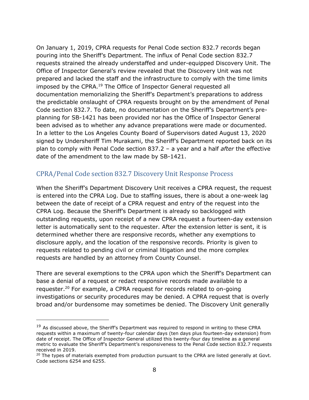On January 1, 2019, CPRA requests for Penal Code section 832.7 records began pouring into the Sheriff's Department. The influx of Penal Code section 832.7 requests strained the already understaffed and under-equipped Discovery Unit. The Office of Inspector General's review revealed that the Discovery Unit was not prepared and lacked the staff and the infrastructure to comply with the time limits imposed by the CPRA.<sup>19</sup> The Office of Inspector General requested all documentation memorializing the Sheriff's Department's preparations to address the predictable onslaught of CPRA requests brought on by the amendment of Penal Code section 832.7. To date, no documentation on the Sheriff's Department's preplanning for SB-1421 has been provided nor has the Office of Inspector General been advised as to whether any advance preparations were made or documented. In a letter to the Los Angeles County Board of Supervisors dated August 13, 2020 signed by Undersheriff Tim Murakami, the Sheriff's Department reported back on its plan to comply with Penal Code section 837.2 – a year and a half *after* the effective date of the amendment to the law made by SB-1421.

#### <span id="page-9-0"></span>CPRA/Penal Code section 832.7 Discovery Unit Response Process

When the Sheriff's Department Discovery Unit receives a CPRA request, the request is entered into the CPRA Log. Due to staffing issues, there is about a one-week lag between the date of receipt of a CPRA request and entry of the request into the CPRA Log. Because the Sheriff's Department is already so backlogged with outstanding requests, upon receipt of a new CPRA request a fourteen-day extension letter is automatically sent to the requester. After the extension letter is sent, it is determined whether there are responsive records, whether any exemptions to disclosure apply, and the location of the responsive records. Priority is given to requests related to pending civil or criminal litigation and the more complex requests are handled by an attorney from County Counsel.

There are several exemptions to the CPRA upon which the Sheriff's Department can base a denial of a request or redact responsive records made available to a requester.<sup>20</sup> For example, a CPRA request for records related to on-going investigations or security procedures may be denied. A CPRA request that is overly broad and/or burdensome may sometimes be denied. The Discovery Unit generally

 $19$  As discussed above, the Sheriff's Department was required to respond in writing to these CPRA requests within a maximum of twenty-four calendar days (ten days plus fourteen-day extension) from date of receipt. The Office of Inspector General utilized this twenty-four day timeline as a general metric to evaluate the Sheriff's Department's responsiveness to the Penal Code section 832.7 requests received in 2019.

<sup>&</sup>lt;sup>20</sup> The types of materials exempted from production pursuant to the CPRA are listed generally at Govt. Code sections 6254 and 6255.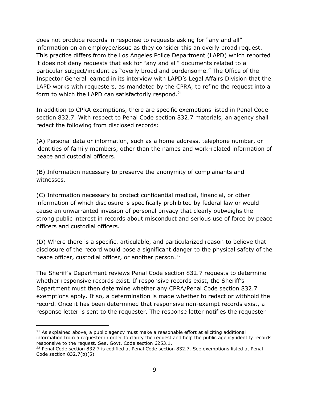does not produce records in response to requests asking for "any and all" information on an employee/issue as they consider this an overly broad request. This practice differs from the Los Angeles Police Department (LAPD) which reported it does not deny requests that ask for "any and all" documents related to a particular subject/incident as "overly broad and burdensome." The Office of the Inspector General learned in its interview with LAPD's Legal Affairs Division that the LAPD works with requesters, as mandated by the CPRA, to refine the request into a form to which the LAPD can satisfactorily respond. $21$ 

In addition to CPRA exemptions, there are specific exemptions listed in Penal Code section 832.7. With respect to Penal Code section 832.7 materials, an agency shall redact the following from disclosed records:

(A) Personal data or information, such as a home address, telephone number, or identities of family members, other than the names and work-related information of peace and custodial officers.

(B) Information necessary to preserve the anonymity of complainants and witnesses.

(C) Information necessary to protect confidential medical, financial, or other information of which disclosure is specifically prohibited by federal law or would cause an unwarranted invasion of personal privacy that clearly outweighs the strong public interest in records about misconduct and serious use of force by peace officers and custodial officers.

(D) Where there is a specific, articulable, and particularized reason to believe that disclosure of the record would pose a significant danger to the physical safety of the peace officer, custodial officer, or another person.<sup>22</sup>

The Sheriff's Department reviews Penal Code section 832.7 requests to determine whether responsive records exist. If responsive records exist, the Sheriff's Department must then determine whether any CPRA/Penal Code section 832.7 exemptions apply. If so, a determination is made whether to redact or withhold the record. Once it has been determined that responsive non-exempt records exist, a response letter is sent to the requester. The response letter notifies the requester

 $21$  As explained above, a public agency must make a reasonable effort at eliciting additional information from a requester in order to clarify the request and help the public agency identify records responsive to the request. See, Govt. Code section 6253.1.

<sup>&</sup>lt;sup>22</sup> Penal Code section 832.7 is codified at Penal Code section 832.7. See exemptions listed at Penal Code section 832.7(b)(5).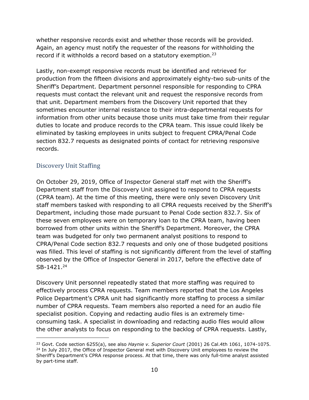whether responsive records exist and whether those records will be provided. Again, an agency must notify the requester of the reasons for withholding the record if it withholds a record based on a statutory exemption.<sup>23</sup>

Lastly, non-exempt responsive records must be identified and retrieved for production from the fifteen divisions and approximately eighty-two sub-units of the Sheriff's Department. Department personnel responsible for responding to CPRA requests must contact the relevant unit and request the responsive records from that unit. Department members from the Discovery Unit reported that they sometimes encounter internal resistance to their intra-departmental requests for information from other units because those units must take time from their regular duties to locate and produce records to the CPRA team. This issue could likely be eliminated by tasking employees in units subject to frequent CPRA/Penal Code section 832.7 requests as designated points of contact for retrieving responsive records.

#### <span id="page-11-0"></span>Discovery Unit Staffing

On October 29, 2019, Office of Inspector General staff met with the Sheriff's Department staff from the Discovery Unit assigned to respond to CPRA requests (CPRA team). At the time of this meeting, there were only seven Discovery Unit staff members tasked with responding to all CPRA requests received by the Sheriff's Department, including those made pursuant to Penal Code section 832.7. Six of these seven employees were on temporary loan to the CPRA team, having been borrowed from other units within the Sheriff's Department. Moreover, the CPRA team was budgeted for only two permanent analyst positions to respond to CPRA/Penal Code section 832.7 requests and only one of those budgeted positions was filled. This level of staffing is not significantly different from the level of staffing observed by the Office of Inspector General in 2017, before the effective date of SB-1421. 24

Discovery Unit personnel repeatedly stated that more staffing was required to effectively process CPRA requests. Team members reported that the Los Angeles Police Department's CPRA unit had significantly more staffing to process a similar number of CPRA requests. Team members also reported a need for an audio file specialist position. Copying and redacting audio files is an extremely timeconsuming task. A specialist in downloading and redacting audio files would allow the other analysts to focus on responding to the backlog of CPRA requests. Lastly,

<sup>23</sup> Govt. Code section 6255(a), see also *Haynie v. Superior Court* (2001) 26 Cal.4th 1061, 1074-1075. <sup>24</sup> In July 2017, the Office of Inspector General met with Discovery Unit employees to review the Sheriff's Department's CPRA response process. At that time, there was only full-time analyst assisted by part-time staff.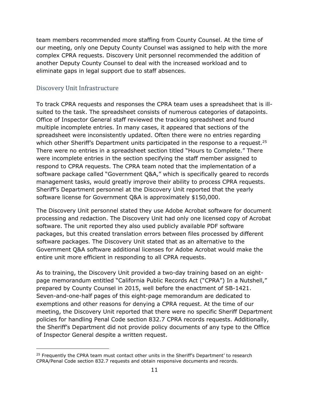team members recommended more staffing from County Counsel. At the time of our meeting, only one Deputy County Counsel was assigned to help with the more complex CPRA requests. Discovery Unit personnel recommended the addition of another Deputy County Counsel to deal with the increased workload and to eliminate gaps in legal support due to staff absences.

#### <span id="page-12-0"></span>Discovery Unit Infrastructure

To track CPRA requests and responses the CPRA team uses a spreadsheet that is illsuited to the task. The spreadsheet consists of numerous categories of datapoints. Office of Inspector General staff reviewed the tracking spreadsheet and found multiple incomplete entries. In many cases, it appeared that sections of the spreadsheet were inconsistently updated. Often there were no entries regarding which other Sheriff's Department units participated in the response to a request.<sup>25</sup> There were no entries in a spreadsheet section titled "Hours to Complete." There were incomplete entries in the section specifying the staff member assigned to respond to CPRA requests. The CPRA team noted that the implementation of a software package called "Government Q&A," which is specifically geared to records management tasks, would greatly improve their ability to process CPRA requests. Sheriff's Department personnel at the Discovery Unit reported that the yearly software license for Government Q&A is approximately \$150,000.

The Discovery Unit personnel stated they use Adobe Acrobat software for document processing and redaction. The Discovery Unit had only one licensed copy of Acrobat software. The unit reported they also used publicly available PDF software packages, but this created translation errors between files processed by different software packages. The Discovery Unit stated that as an alternative to the Government Q&A software additional licenses for Adobe Acrobat would make the entire unit more efficient in responding to all CPRA requests.

As to training, the Discovery Unit provided a two-day training based on an eightpage memorandum entitled "California Public Records Act ("CPRA") In a Nutshell," prepared by County Counsel in 2015, well before the enactment of SB-1421. Seven-and-one-half pages of this eight-page memorandum are dedicated to exemptions and other reasons for denying a CPRA request. At the time of our meeting, the Discovery Unit reported that there were no specific Sheriff Department policies for handling Penal Code section 832.7 CPRA records requests. Additionally, the Sheriff's Department did not provide policy documents of any type to the Office of Inspector General despite a written request.

<sup>&</sup>lt;sup>25</sup> Frequently the CPRA team must contact other units in the Sheriff's Department' to research CPRA/Penal Code section 832.7 requests and obtain responsive documents and records.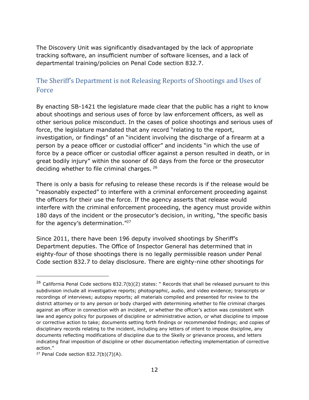The Discovery Unit was significantly disadvantaged by the lack of appropriate tracking software, an insufficient number of software licenses, and a lack of departmental training/policies on Penal Code section 832.7.

### <span id="page-13-0"></span>The Sheriff's Department is not Releasing Reports of Shootings and Uses of Force

By enacting SB-1421 the legislature made clear that the public has a right to know about shootings and serious uses of force by law enforcement officers, as well as other serious police misconduct. In the cases of police shootings and serious uses of force, the legislature mandated that any record "relating to the report, investigation, or findings" of an "incident involving the discharge of a firearm at a person by a peace officer or custodial officer" and incidents "in which the use of force by a peace officer or custodial officer against a person resulted in death, or in great bodily injury" within the sooner of 60 days from the force or the prosecutor deciding whether to file criminal charges. <sup>26</sup>

There is only a basis for refusing to release these records is if the release would be "reasonably expected" to interfere with a criminal enforcement proceeding against the officers for their use the force. If the agency asserts that release would interfere with the criminal enforcement proceeding, the agency must provide within 180 days of the incident or the prosecutor's decision, in writing, "the specific basis for the agency's determination."<sup>27</sup>

Since 2011, there have been 196 deputy involved shootings by Sheriff's Department deputies. The Office of Inspector General has determined that in eighty-four of those shootings there is no legally permissible reason under Penal Code section 832.7 to delay disclosure. There are eighty-nine other shootings for

 $26$  California Penal Code sections 832.7(b)(2) states: " Records that shall be released pursuant to this subdivision include all investigative reports; photographic, audio, and video evidence; transcripts or recordings of interviews; autopsy reports; all materials compiled and presented for review to the district attorney or to any person or body charged with determining whether to file criminal charges against an officer in connection with an incident, or whether the officer's action was consistent with law and agency policy for purposes of discipline or administrative action, or what discipline to impose or corrective action to take; documents setting forth findings or recommended findings; and copies of disciplinary records relating to the incident, including any letters of intent to impose discipline, any documents reflecting modifications of discipline due to the Skelly or grievance process, and letters indicating final imposition of discipline or other documentation reflecting implementation of corrective action."

<sup>&</sup>lt;sup>27</sup> Penal Code section  $832.7(b)(7)(A)$ .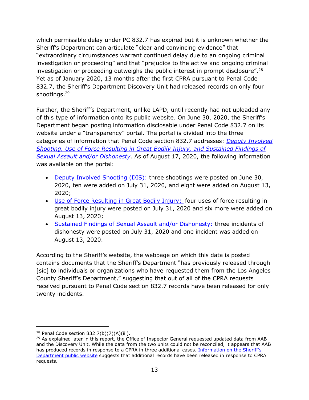which permissible delay under PC 832.7 has expired but it is unknown whether the Sheriff's Department can articulate "clear and convincing evidence" that "extraordinary circumstances warrant continued delay due to an ongoing criminal investigation or proceeding" and that "prejudice to the active and ongoing criminal investigation or proceeding outweighs the public interest in prompt disclosure".  $^{28}$ Yet as of January 2020, 13 months after the first CPRA pursuant to Penal Code 832.7, the Sheriff's Department Discovery Unit had released records on only four shootings. 29

Further, the Sheriff's Department, unlike LAPD, until recently had not uploaded any of this type of information onto its public website. On June 30, 2020, the Sheriff's Department began posting information disclosable under Penal Code 832.7 on its website under a "transparency" portal. The portal is divided into the three categories of information that Penal Code section 832.7 addresses: *[Deputy Involved](https://lasdsb1421.powerappsportals.us/)  [Shooting, Use of Force Resulting in Great Bodily Injury, and Sustained Findings of](https://lasdsb1421.powerappsportals.us/)  [Sexual Assault and/or Dishonesty](https://lasdsb1421.powerappsportals.us/)*. As of August 17, 2020, the following information was available on the portal:

- [Deputy Involved Shooting \(DIS\):](https://lasdsb1421.powerappsportals.us/dis/) three shootings were posted on June 30, 2020, ten were added on July 31, 2020, and eight were added on August 13, 2020;
- [Use of Force Resulting in Great Bodily Injury:](https://lasdsb1421.powerappsportals.us/uof/) four uses of force resulting in great bodily injury were posted on July 31, 2020 and six more were added on August 13, 2020;
- [Sustained Findings of Sexual Assault and/or Dishonesty:](https://lasdsb1421.powerappsportals.us/sadis/) three incidents of dishonesty were posted on July 31, 2020 and one incident was added on August 13, 2020.

According to the Sheriff's website, the webpage on which this data is posted contains documents that the Sheriff's Department "has previously released through [sic] to individuals or organizations who have requested them from the Los Angeles County Sheriff's Department," suggesting that out of all of the CPRA requests received pursuant to Penal Code section 832.7 records have been released for only twenty incidents.

<sup>&</sup>lt;sup>28</sup> Penal Code section  $832.7(b)(7)(A)(iii)$ .

<sup>&</sup>lt;sup>29</sup> As explained later in this report, the Office of Inspector General requested updated data from AAB and the Discovery Unit. While the data from the two units could not be reconciled, it appears that AAB has produced records in response to a CPRA in three additional cases. Information on the Sheriff's [Department public website](https://lasdsb1421.powerappsportals.us/) suggests that additional records have been released in response to CPRA requests.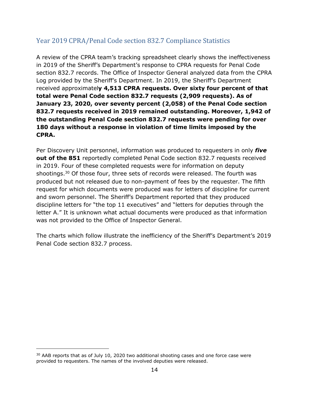## <span id="page-15-0"></span>Year 2019 CPRA/Penal Code section 832.7 Compliance Statistics

A review of the CPRA team's tracking spreadsheet clearly shows the ineffectiveness in 2019 of the Sheriff's Department's response to CPRA requests for Penal Code section 832.7 records. The Office of Inspector General analyzed data from the CPRA Log provided by the Sheriff's Department. In 2019, the Sheriff's Department received approximatel**y 4,513 CPRA requests. Over sixty four percent of that total were Penal Code section 832.7 requests (2,909 requests). As of January 23, 2020, over seventy percent (2,058) of the Penal Code section 832.7 requests received in 2019 remained outstanding. Moreover, 1,942 of the outstanding Penal Code section 832.7 requests were pending for over 180 days without a response in violation of time limits imposed by the CPRA.** 

Per Discovery Unit personnel, information was produced to requesters in only *five* **out of the 851** reportedly completed Penal Code section 832.7 requests received in 2019. Four of these completed requests were for information on deputy shootings. <sup>30</sup> Of those four, three sets of records were released. The fourth was produced but not released due to non-payment of fees by the requester. The fifth request for which documents were produced was for letters of discipline for current and sworn personnel. The Sheriff's Department reported that they produced discipline letters for "the top 11 executives" and "letters for deputies through the letter A." It is unknown what actual documents were produced as that information was not provided to the Office of Inspector General.

The charts which follow illustrate the inefficiency of the Sheriff's Department's 2019 Penal Code section 832.7 process.

<sup>&</sup>lt;sup>30</sup> AAB reports that as of July 10, 2020 two additional shooting cases and one force case were provided to requesters. The names of the involved deputies were released.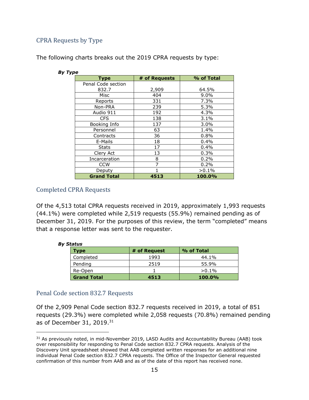#### <span id="page-16-0"></span>CPRA Requests by Type

The following charts breaks out the 2019 CPRA requests by type:

| <b>Type</b>        | # of Requests | % of Total |  |  |  |
|--------------------|---------------|------------|--|--|--|
| Penal Code section |               |            |  |  |  |
| 832.7              | 2,909         | 64.5%      |  |  |  |
| Misc               | 404           | $9.0\%$    |  |  |  |
| Reports            | 331           | 7.3%       |  |  |  |
| Non-PRA            | 239           | 5.3%       |  |  |  |
| Audio 911          | 192           | 4.3%       |  |  |  |
| CFS                | 138           | 3.1%       |  |  |  |
| Booking Info       | 137           | 3.0%       |  |  |  |
| Personnel          | 63            | 1.4%       |  |  |  |
| Contracts          | 36            | 0.8%       |  |  |  |
| E-Mails            | 18            | 0.4%       |  |  |  |
| <b>Stats</b>       | 17            | $0.4\%$    |  |  |  |
| Clery Act          | 13            | 0.3%       |  |  |  |
| Incarceration      | 8             | 0.2%       |  |  |  |
| <b>CCW</b>         | 7             | 0.2%       |  |  |  |
| Deputy             |               | $>0.1\%$   |  |  |  |
| <b>Grand Total</b> | 4513          | 100.0%     |  |  |  |

#### *By Type*

#### <span id="page-16-1"></span>Completed CPRA Requests

Of the 4,513 total CPRA requests received in 2019, approximately 1,993 requests (44.1%) were completed while 2,519 requests (55.9%) remained pending as of December 31, 2019. For the purposes of this review, the term "completed" means that a response letter was sent to the requester.

| status             |              |            |  |  |  |
|--------------------|--------------|------------|--|--|--|
| Type               | # of Request | % of Total |  |  |  |
| Completed          | 1993         | 44.1%      |  |  |  |
| Pending            | 2519         | 55.9%      |  |  |  |
| Re-Open            |              | $>0.1\%$   |  |  |  |
| <b>Grand Total</b> | 4513         | $100.0\%$  |  |  |  |

#### *By Stat*

#### <span id="page-16-2"></span>Penal Code section 832.7 Requests

Of the 2,909 Penal Code section 832.7 requests received in 2019, a total of 851 requests (29.3%) were completed while 2,058 requests (70.8%) remained pending as of December 31, 2019. 31

<sup>&</sup>lt;sup>31</sup> As previously noted, in mid-November 2019, LASD Audits and Accountability Bureau (AAB) took over responsibility for responding to Penal Code section 832.7 CPRA requests. Analysis of the Discovery Unit spreadsheet showed that AAB completed written responses for an additional nine individual Penal Code section 832.7 CPRA requests. The Office of the Inspector General requested confirmation of this number from AAB and as of the date of this report has received none.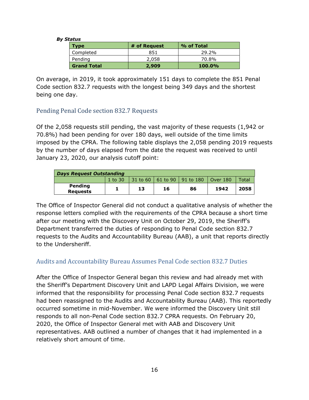#### *By Status*

| .                  |              |               |  |  |  |
|--------------------|--------------|---------------|--|--|--|
| Type               | # of Request | % of Total    |  |  |  |
| Completed          | 851          | 29.2%         |  |  |  |
| Pending            | 2,058        | 70.8%         |  |  |  |
| <b>Grand Total</b> | 2,909        | <b>100.0%</b> |  |  |  |

On average, in 2019, it took approximately 151 days to complete the 851 Penal Code section 832.7 requests with the longest being 349 days and the shortest being one day.

#### <span id="page-17-0"></span>Pending Penal Code section 832.7 Requests

Of the 2,058 requests still pending, the vast majority of these requests (1,942 or 70.8%) had been pending for over 180 days, well outside of the time limits imposed by the CPRA. The following table displays the 2,058 pending 2019 requests by the number of days elapsed from the date the request was received to until January 23, 2020, our analysis cutoff point:

| <b>Days Request Outstanding</b> |             |    |    |                                 |                  |       |
|---------------------------------|-------------|----|----|---------------------------------|------------------|-------|
|                                 | $1$ to $30$ |    |    | 31 to 60   61 to 90   91 to 180 | $\vert$ Over 180 | Total |
| Pending<br><b>Requests</b>      |             | 13 | 16 | 86                              | 1942             | 2058  |

The Office of Inspector General did not conduct a qualitative analysis of whether the response letters complied with the requirements of the CPRA because a short time after our meeting with the Discovery Unit on October 29, 2019, the Sheriff's Department transferred the duties of responding to Penal Code section 832.7 requests to the Audits and Accountability Bureau (AAB), a unit that reports directly to the Undersheriff.

#### <span id="page-17-1"></span>Audits and Accountability Bureau Assumes Penal Code section 832.7 Duties

After the Office of Inspector General began this review and had already met with the Sheriff's Department Discovery Unit and LAPD Legal Affairs Division, we were informed that the responsibility for processing Penal Code section 832.7 requests had been reassigned to the Audits and Accountability Bureau (AAB). This reportedly occurred sometime in mid-November. We were informed the Discovery Unit still responds to all non-Penal Code section 832.7 CPRA requests. On February 20, 2020, the Office of Inspector General met with AAB and Discovery Unit representatives. AAB outlined a number of changes that it had implemented in a relatively short amount of time.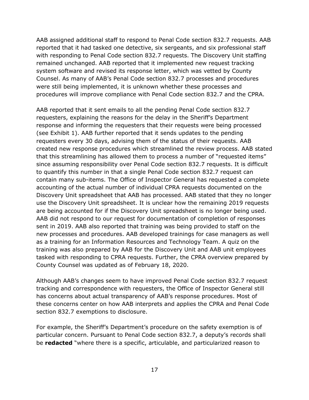AAB assigned additional staff to respond to Penal Code section 832.7 requests. AAB reported that it had tasked one detective, six sergeants, and six professional staff with responding to Penal Code section 832.7 requests. The Discovery Unit staffing remained unchanged. AAB reported that it implemented new request tracking system software and revised its response letter, which was vetted by County Counsel. As many of AAB's Penal Code section 832.7 processes and procedures were still being implemented, it is unknown whether these processes and procedures will improve compliance with Penal Code section 832.7 and the CPRA.

AAB reported that it sent emails to all the pending Penal Code section 832.7 requesters, explaining the reasons for the delay in the Sheriff's Department response and informing the requesters that their requests were being processed (see Exhibit 1). AAB further reported that it sends updates to the pending requesters every 30 days, advising them of the status of their requests. AAB created new response procedures which streamlined the review process. AAB stated that this streamlining has allowed them to process a number of "requested items" since assuming responsibility over Penal Code section 832.7 requests. It is difficult to quantify this number in that a single Penal Code section 832.7 request can contain many sub-items. The Office of Inspector General has requested a complete accounting of the actual number of individual CPRA requests documented on the Discovery Unit spreadsheet that AAB has processed. AAB stated that they no longer use the Discovery Unit spreadsheet. It is unclear how the remaining 2019 requests are being accounted for if the Discovery Unit spreadsheet is no longer being used. AAB did not respond to our request for documentation of completion of responses sent in 2019. AAB also reported that training was being provided to staff on the new processes and procedures. AAB developed trainings for case managers as well as a training for an Information Resources and Technology Team. A quiz on the training was also prepared by AAB for the Discovery Unit and AAB unit employees tasked with responding to CPRA requests. Further, the CPRA overview prepared by County Counsel was updated as of February 18, 2020.

Although AAB's changes seem to have improved Penal Code section 832.7 request tracking and correspondence with requesters, the Office of Inspector General still has concerns about actual transparency of AAB's response procedures. Most of these concerns center on how AAB interprets and applies the CPRA and Penal Code section 832.7 exemptions to disclosure.

For example, the Sheriff's Department's procedure on the safety exemption is of particular concern. Pursuant to Penal Code section 832.7, a deputy's records shall be **redacted** "where there is a specific, articulable, and particularized reason to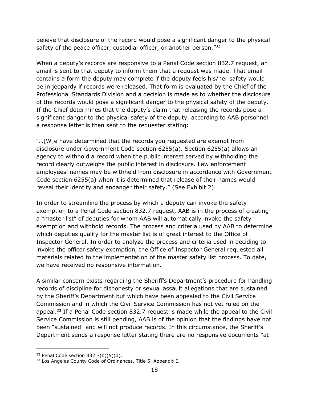believe that disclosure of the record would pose a significant danger to the physical safety of the peace officer, custodial officer, or another person."32

When a deputy's records are responsive to a Penal Code section 832.7 request, an email is sent to that deputy to inform them that a request was made. That email contains a form the deputy may complete if the deputy feels his/her safety would be in jeopardy if records were released. That form is evaluated by the Chief of the Professional Standards Division and a decision is made as to whether the disclosure of the records would pose a significant danger to the physical safety of the deputy. If the Chief determines that the deputy's claim that releasing the records pose a significant danger to the physical safety of the deputy, according to AAB personnel a response letter is then sent to the requester stating:

"…[W]e have determined that the records you requested are exempt from disclosure under Government Code section 6255(a). Section 6255(a) allows an agency to withhold a record when the public interest served by withholding the record clearly outweighs the public interest in disclosure. Law enforcement employees' names may be withheld from disclosure in accordance with Government Code section 6255(a) when it is determined that release of their names would reveal their identity and endanger their safety." (See Exhibit 2).

In order to streamline the process by which a deputy can invoke the safety exemption to a Penal Code section 832.7 request, AAB is in the process of creating a "master list" of deputies for whom AAB will automatically invoke the safety exemption and withhold records. The process and criteria used by AAB to determine which deputies qualify for the master list is of great interest to the Office of Inspector General. In order to analyze the process and criteria used in deciding to invoke the officer safety exemption, the Office of Inspector General requested all materials related to the implementation of the master safety list process. To date, we have received no responsive information.

A similar concern exists regarding the Sheriff's Department's procedure for handling records of discipline for dishonesty or sexual assault allegations that are sustained by the Sheriff's Department but which have been appealed to the Civil Service Commission and in which the Civil Service Commission has not yet ruled on the appeal.<sup>33</sup> If a Penal Code section 832.7 request is made while the appeal to the Civil Service Commission is still pending, AAB is of the opinion that the findings have not been "sustained" and will not produce records. In this circumstance, the Sheriff's Department sends a response letter stating there are no responsive documents "at

 $32$  Penal Code section 832.7(b)(5)(d).

<sup>33</sup> Los Angeles County Code of Ordinances, Title 5, Appendix I.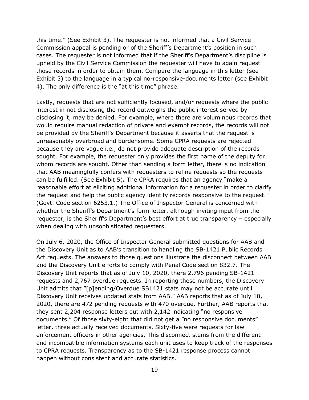this time." (See Exhibit 3). The requester is not informed that a Civil Service Commission appeal is pending or of the Sheriff's Department's position in such cases. The requester is not informed that if the Sheriff's Department's discipline is upheld by the Civil Service Commission the requester will have to again request those records in order to obtain them. Compare the language in this letter (see Exhibit 3) to the language in a typical no-responsive-documents letter (see Exhibit 4). The only difference is the "at this time" phrase.

Lastly, requests that are not sufficiently focused, and/or requests where the public interest in not disclosing the record outweighs the public interest served by disclosing it, may be denied. For example, where there are voluminous records that would require manual redaction of private and exempt records, the records will not be provided by the Sheriff's Department because it asserts that the request is unreasonably overbroad and burdensome. Some CPRA requests are rejected because they are vague i.e., do not provide adequate description of the records sought. For example, the requester only provides the first name of the deputy for whom records are sought. Other than sending a form letter, there is no indication that AAB meaningfully confers with requesters to refine requests so the requests can be fulfilled. (See Exhibit 5)**.** The CPRA requires that an agency "make a reasonable effort at eliciting additional information for a requester in order to clarify the request and help the public agency identify records responsive to the request." (Govt. Code section 6253.1.) The Office of Inspector General is concerned with whether the Sheriff's Department's form letter, although inviting input from the requester, is the Sheriff's Department's best effort at true transparency – especially when dealing with unsophisticated requesters.

On July 6, 2020, the Office of Inspector General submitted questions for AAB and the Discovery Unit as to AAB's transition to handling the SB-1421 Public Records Act requests. The answers to those questions illustrate the disconnect between AAB and the Discovery Unit efforts to comply with Penal Code section 832.7. The Discovery Unit reports that as of July 10, 2020, there 2,796 pending SB-1421 requests and 2,767 overdue requests. In reporting these numbers, the Discovery Unit admits that "[p]ending/Overdue SB1421 stats may not be accurate until Discovery Unit receives updated stats from AAB." AAB reports that as of July 10, 2020, there are 472 pending requests with 470 overdue. Further, AAB reports that they sent 2,204 response letters out with 2,142 indicating "no responsive documents." Of those sixty-eight that did not get a "no responsive documents" letter, three actually received documents. Sixty-five were requests for law enforcement officers in other agencies. This disconnect stems from the different and incompatible information systems each unit uses to keep track of the responses to CPRA requests. Transparency as to the SB-1421 response process cannot happen without consistent and accurate statistics.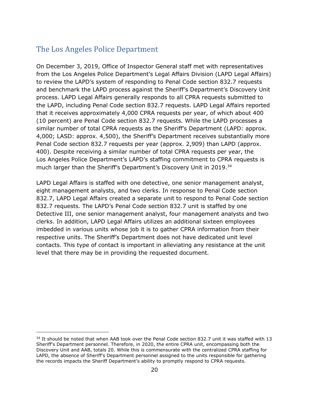# <span id="page-21-0"></span>The Los Angeles Police Department

On December 3, 2019, Office of Inspector General staff met with representatives from the Los Angeles Police Department's Legal Affairs Division (LAPD Legal Affairs) to review the LAPD's system of responding to Penal Code section 832.7 requests and benchmark the LAPD process against the Sheriff's Department's Discovery Unit process. LAPD Legal Affairs generally responds to all CPRA requests submitted to the LAPD, including Penal Code section 832.7 requests. LAPD Legal Affairs reported that it receives approximately 4,000 CPRA requests per year, of which about 400 (10 percent) are Penal Code section 832.7 requests. While the LAPD processes a similar number of total CPRA requests as the Sheriff's Department (LAPD: approx. 4,000; LASD: approx. 4,500), the Sheriff's Department receives substantially more Penal Code section 832.7 requests per year (approx. 2,909) than LAPD (approx. 400). Despite receiving a similar number of total CPRA requests per year, the Los Angeles Police Department's LAPD's staffing commitment to CPRA requests is much larger than the Sheriff's Department's Discovery Unit in 2019. 34

LAPD Legal Affairs is staffed with one detective, one senior management analyst, eight management analysts, and two clerks. In response to Penal Code section 832.7, LAPD Legal Affairs created a separate unit to respond to Penal Code section 832.7 requests. The LAPD's Penal Code section 832.7 unit is staffed by one Detective III, one senior management analyst, four management analysts and two clerks. In addition, LAPD Legal Affairs utilizes an additional sixteen employees imbedded in various units whose job it is to gather CPRA information from their respective units. The Sheriff's Department does not have dedicated unit level contacts. This type of contact is important in alleviating any resistance at the unit level that there may be in providing the requested document.

 $34$  It should be noted that when AAB took over the Penal Code section 832.7 unit it was staffed with 13 Sheriff's Department personnel. Therefore, in 2020, the entire CPRA unit, encompassing both the Discovery Unit and AAB, totals 20. While this is commensurate with the centralized CPRA staffing for LAPD, the absence of Sheriff's Department personnel assigned to the units responsible for gathering the records impacts the Sheriff Department's ability to promptly respond to CPRA requests.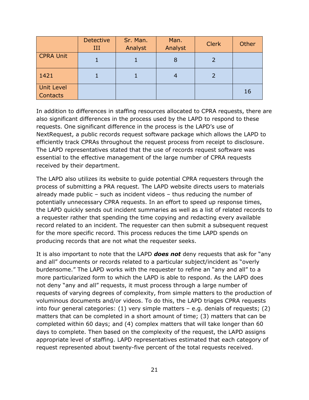|                                      | <b>Detective</b><br>Ш | Sr. Man.<br>Analyst | Man.<br>Analyst | <b>Clerk</b> | Other |
|--------------------------------------|-----------------------|---------------------|-----------------|--------------|-------|
| <b>CPRA Unit</b>                     |                       |                     | 8               |              |       |
| 1421                                 |                       |                     |                 |              |       |
| <b>Unit Level</b><br><b>Contacts</b> |                       |                     |                 |              | 16    |

In addition to differences in staffing resources allocated to CPRA requests, there are also significant differences in the process used by the LAPD to respond to these requests. One significant difference in the process is the LAPD's use of NextRequest, a public records request software package which allows the LAPD to efficiently track CPRAs throughout the request process from receipt to disclosure. The LAPD representatives stated that the use of records request software was essential to the effective management of the large number of CPRA requests received by their department.

The LAPD also utilizes its website to guide potential CPRA requesters through the process of submitting a PRA request. The LAPD website directs users to materials already made public – such as incident videos – thus reducing the number of potentially unnecessary CPRA requests. In an effort to speed up response times, the LAPD quickly sends out incident summaries as well as a list of related records to a requester rather that spending the time copying and redacting every available record related to an incident. The requester can then submit a subsequent request for the more specific record. This process reduces the time LAPD spends on producing records that are not what the requester seeks.

It is also important to note that the LAPD *does not* deny requests that ask for "any and all" documents or records related to a particular subject/incident as "overly burdensome." The LAPD works with the requester to refine an "any and all" to a more particularized form to which the LAPD is able to respond. As the LAPD does not deny "any and all" requests, it must process through a large number of requests of varying degrees of complexity, from simple matters to the production of voluminous documents and/or videos. To do this, the LAPD triages CPRA requests into four general categories:  $(1)$  very simple matters  $-$  e.g. denials of requests;  $(2)$ matters that can be completed in a short amount of time; (3) matters that can be completed within 60 days; and (4) complex matters that will take longer than 60 days to complete. Then based on the complexity of the request, the LAPD assigns appropriate level of staffing. LAPD representatives estimated that each category of request represented about twenty-five percent of the total requests received.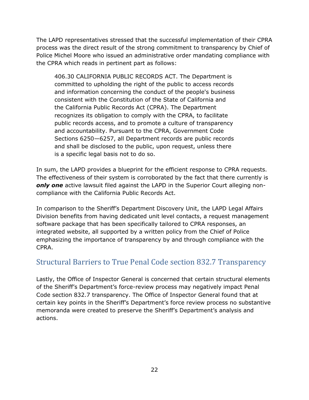The LAPD representatives stressed that the successful implementation of their CPRA process was the direct result of the strong commitment to transparency by Chief of Police Michel Moore who issued an administrative order mandating compliance with the CPRA which reads in pertinent part as follows:

406.30 CALIFORNIA PUBLIC RECORDS ACT. The Department is committed to upholding the right of the public to access records and information concerning the conduct of the people's business consistent with the Constitution of the State of California and the California Public Records Act (CPRA). The Department recognizes its obligation to comply with the CPRA, to facilitate public records access, and to promote a culture of transparency and accountability. Pursuant to the CPRA, Government Code Sections 6250—6257, all Department records are public records and shall be disclosed to the public, upon request, unless there is a specific legal basis not to do so.

In sum, the LAPD provides a blueprint for the efficient response to CPRA requests. The effectiveness of their system is corroborated by the fact that there currently is *only one* active lawsuit filed against the LAPD in the Superior Court alleging noncompliance with the California Public Records Act.

In comparison to the Sheriff's Department Discovery Unit, the LAPD Legal Affairs Division benefits from having dedicated unit level contacts, a request management software package that has been specifically tailored to CPRA responses, an integrated website, all supported by a written policy from the Chief of Police emphasizing the importance of transparency by and through compliance with the CPRA.

# <span id="page-23-0"></span>Structural Barriers to True Penal Code section 832.7 Transparency

Lastly, the Office of Inspector General is concerned that certain structural elements of the Sheriff's Department's force-review process may negatively impact Penal Code section 832.7 transparency. The Office of Inspector General found that at certain key points in the Sheriff's Department's force review process no substantive memoranda were created to preserve the Sheriff's Department's analysis and actions.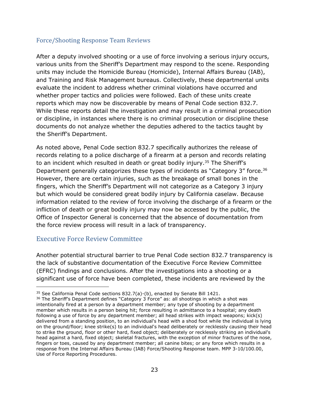#### <span id="page-24-0"></span>Force/Shooting Response Team Reviews

After a deputy involved shooting or a use of force involving a serious injury occurs, various units from the Sheriff's Department may respond to the scene. Responding units may include the Homicide Bureau (Homicide), Internal Affairs Bureau (IAB), and Training and Risk Management bureaus. Collectively, these departmental units evaluate the incident to address whether criminal violations have occurred and whether proper tactics and policies were followed. Each of these units create reports which may now be discoverable by means of Penal Code section 832.7. While these reports detail the investigation and may result in a criminal prosecution or discipline, in instances where there is no criminal prosecution or discipline these documents do not analyze whether the deputies adhered to the tactics taught by the Sheriff's Department.

As noted above, Penal Code section 832.7 specifically authorizes the release of records relating to a police discharge of a firearm at a person and records relating to an incident which resulted in death or great bodily injury.<sup>35</sup> The Sheriff's Department generally categorizes these types of incidents as "Category 3" force.<sup>36</sup> However, there are certain injuries, such as the breakage of small bones in the fingers, which the Sheriff's Department will not categorize as a Category 3 injury but which would be considered great bodily injury by California caselaw. Because information related to the review of force involving the discharge of a firearm or the infliction of death or great bodily injury may now be accessed by the public, the Office of Inspector General is concerned that the absence of documentation from the force review process will result in a lack of transparency.

#### <span id="page-24-1"></span>Executive Force Review Committee

Another potential structural barrier to true Penal Code section 832.7 transparency is the lack of substantive documentation of the Executive Force Review Committee (EFRC) findings and conclusions. After the investigations into a shooting or a significant use of force have been completed, these incidents are reviewed by the

 $35$  See California Penal Code sections 832.7(a)-(b), enacted by Senate Bill 1421.

<sup>&</sup>lt;sup>36</sup> The Sheriff's Department defines "Category 3 Force" as: all shootings in which a shot was intentionally fired at a person by a department member; any type of shooting by a department member which results in a person being hit; force resulting in admittance to a hospital; any death following a use of force by any department member; all head strikes with impact weapons; kick(s) delivered from a standing position, to an individual's head with a shod foot while the individual is lying on the ground/floor; knee strike(s) to an individual's head deliberately or recklessly causing their head to strike the ground, floor or other hard, fixed object; deliberately or recklessly striking an individual's head against a hard, fixed object; skeletal fractures, with the exception of minor fractures of the nose, fingers or toes, caused by any department member; all canine bites; or any force which results in a response from the Internal Affairs Bureau (IAB) Force/Shooting Response team. MPP 3-10/100.00, Use of Force Reporting Procedures.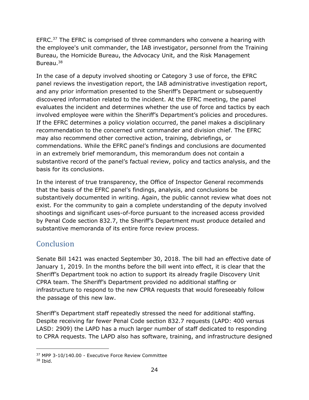EFRC.<sup>37</sup> The EFRC is comprised of three commanders who convene a hearing with the employee's unit commander, the IAB investigator, personnel from the Training Bureau, the Homicide Bureau, the Advocacy Unit, and the Risk Management Bureau.<sup>38</sup>

In the case of a deputy involved shooting or Category 3 use of force, the EFRC panel reviews the investigation report, the IAB administrative investigation report, and any prior information presented to the Sheriff's Department or subsequently discovered information related to the incident. At the EFRC meeting, the panel evaluates the incident and determines whether the use of force and tactics by each involved employee were within the Sheriff's Department's policies and procedures. If the EFRC determines a policy violation occurred, the panel makes a disciplinary recommendation to the concerned unit commander and division chief. The EFRC may also recommend other corrective action, training, debriefings, or commendations. While the EFRC panel's findings and conclusions are documented in an extremely brief memorandum, this memorandum does not contain a substantive record of the panel's factual review, policy and tactics analysis, and the basis for its conclusions.

In the interest of true transparency, the Office of Inspector General recommends that the basis of the EFRC panel's findings, analysis, and conclusions be substantively documented in writing. Again, the public cannot review what does not exist. For the community to gain a complete understanding of the deputy involved shootings and significant uses-of-force pursuant to the increased access provided by Penal Code section 832.7, the Sheriff's Department must produce detailed and substantive memoranda of its entire force review process.

# <span id="page-25-0"></span>**Conclusion**

Senate Bill 1421 was enacted September 30, 2018. The bill had an effective date of January 1, 2019. In the months before the bill went into effect, it is clear that the Sheriff's Department took no action to support its already fragile Discovery Unit CPRA team. The Sheriff's Department provided no additional staffing or infrastructure to respond to the new CPRA requests that would foreseeably follow the passage of this new law.

Sheriff's Department staff repeatedly stressed the need for additional staffing. Despite receiving far fewer Penal Code section 832.7 requests (LAPD: 400 versus LASD: 2909) the LAPD has a much larger number of staff dedicated to responding to CPRA requests. The LAPD also has software, training, and infrastructure designed

<sup>37</sup> MPP 3-10/140.00 - Executive Force Review Committee

 $38$  Ibid.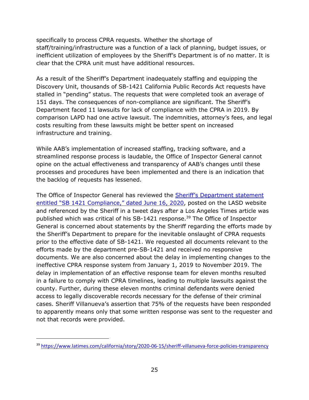specifically to process CPRA requests. Whether the shortage of staff/training/infrastructure was a function of a lack of planning, budget issues, or inefficient utilization of employees by the Sheriff's Department is of no matter. It is clear that the CPRA unit must have additional resources.

As a result of the Sheriff's Department inadequately staffing and equipping the Discovery Unit, thousands of SB-1421 California Public Records Act requests have stalled in "pending" status. The requests that were completed took an average of 151 days. The consequences of non-compliance are significant. The Sheriff's Department faced 11 lawsuits for lack of compliance with the CPRA in 2019. By comparison LAPD had one active lawsuit. The indemnities, attorney's fees, and legal costs resulting from these lawsuits might be better spent on increased infrastructure and training.

While AAB's implementation of increased staffing, tracking software, and a streamlined response process is laudable, the Office of Inspector General cannot opine on the actual effectiveness and transparency of AAB's changes until these processes and procedures have been implemented and there is an indication that the backlog of requests has lessened.

The Office of Inspector General has reviewed the [Sheriff's Department](https://lasd.org/sheriffs-statement-on-sb-1421-compliance/) statement [entitled "SB 1421 Compliance," dated June 16, 2020](https://lasd.org/sheriffs-statement-on-sb-1421-compliance/), posted on the LASD website and referenced by the Sheriff in a tweet days after a Los Angeles Times article was published which was critical of his SB-1421 response.<sup>39</sup> The Office of Inspector General is concerned about statements by the Sheriff regarding the efforts made by the Sheriff's Department to prepare for the inevitable onslaught of CPRA requests prior to the effective date of SB-1421. We requested all documents relevant to the efforts made by the department pre-SB-1421 and received no responsive documents. We are also concerned about the delay in implementing changes to the ineffective CPRA response system from January 1, 2019 to November 2019. The delay in implementation of an effective response team for eleven months resulted in a failure to comply with CPRA timelines, leading to multiple lawsuits against the county. Further, during these eleven months criminal defendants were denied access to legally discoverable records necessary for the defense of their criminal cases. Sheriff Villanueva's assertion that 75% of the requests have been responded to apparently means only that some written response was sent to the requester and not that records were provided.

<sup>39</sup> <https://www.latimes.com/california/story/2020-06-15/sheriff-villanueva-force-policies-transparency>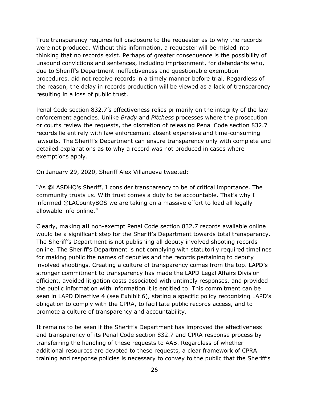True transparency requires full disclosure to the requester as to why the records were not produced. Without this information, a requester will be misled into thinking that no records exist. Perhaps of greater consequence is the possibility of unsound convictions and sentences, including imprisonment, for defendants who, due to Sheriff's Department ineffectiveness and questionable exemption procedures, did not receive records in a timely manner before trial. Regardless of the reason, the delay in records production will be viewed as a lack of transparency resulting in a loss of public trust.

Penal Code section 832.7's effectiveness relies primarily on the integrity of the law enforcement agencies. Unlike *Brady* and *Pitchess* processes where the prosecution or courts review the requests, the discretion of releasing Penal Code section 832.7 records lie entirely with law enforcement absent expensive and time-consuming lawsuits. The Sheriff's Department can ensure transparency only with complete and detailed explanations as to why a record was not produced in cases where exemptions apply.

On January 29, 2020, Sheriff Alex Villanueva tweeted:

"As @LASDHQ's Sheriff, I consider transparency to be of critical importance. The community trusts us. With trust comes a duty to be accountable. That's why I informed @LACountyBOS we are taking on a massive effort to load all legally allowable info online."

Clearly, making **all** non-exempt Penal Code section 832.7 records available online would be a significant step for the Sheriff's Department towards total transparency. The Sheriff's Department is not publishing all deputy involved shooting records online. The Sheriff's Department is not complying with statutorily required timelines for making public the names of deputies and the records pertaining to deputy involved shootings. Creating a culture of transparency comes from the top. LAPD's stronger commitment to transparency has made the LAPD Legal Affairs Division efficient, avoided litigation costs associated with untimely responses, and provided the public information with information it is entitled to. This commitment can be seen in LAPD Directive 4 (see Exhibit 6), stating a specific policy recognizing LAPD's obligation to comply with the CPRA, to facilitate public records access, and to promote a culture of transparency and accountability.

It remains to be seen if the Sheriff's Department has improved the effectiveness and transparency of its Penal Code section 832.7 and CPRA response process by transferring the handling of these requests to AAB. Regardless of whether additional resources are devoted to these requests, a clear framework of CPRA training and response policies is necessary to convey to the public that the Sheriff's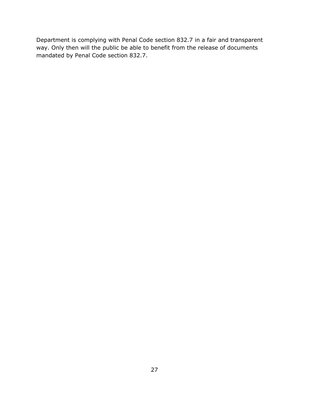Department is complying with Penal Code section 832.7 in a fair and transparent way. Only then will the public be able to benefit from the release of documents mandated by Penal Code section 832.7.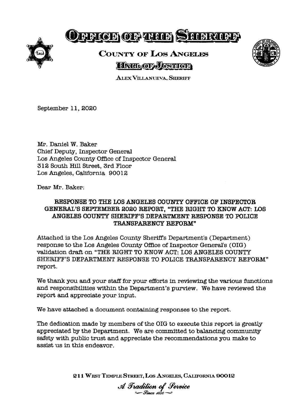

# Defice of the Steering

# **COUNTY OF LOS ANGELES HATL OF JUSTICE**



**ALEX VILLANUEVA, SHERIFF** 

September 11, 2020

Mr. Daniel W. Baker Chief Deputy, Inspector General Los Angeles County Office of Inspector General 312 South Hill Street, 3rd Floor Los Angeles, California 90012

Dear Mr. Baker:

#### RESPONSE TO THE LOS ANGELES COUNTY OFFICE OF INSPECTOR GENERAL'S SEPTEMBER 2020 REPORT, "THE RIGHT TO KNOW ACT: LOS ANGELES COUNTY SHERIFF'S DEPARTMENT RESPONSE TO POLICE TRANSPARENCY REFORM"

Attached is the Los Angeles County Sheriff's Department's (Department) response to the Los Angeles County Office of Inspector General's (OIG) validation draft on "THE RIGHT TO KNOW ACT: LOS ANGELES COUNTY SHERIFF'S DEPARTMENT RESPONSE TO POLICE TRANSPARENCY REFORM" report.

We thank you and your staff for your efforts in reviewing the various functions and responsibilities within the Department's purview. We have reviewed the report and appreciate your input.

We have attached a document containing responses to the report.

The dedication made by members of the OIG to execute this report is greatly appreciated by the Department. We are committed to balancing community safety with public trust and appreciate the recommendations you make to assist us in this endeavor.

211 WEST TEMPLE STREET, LOS ANGELES, CALIFORNIA 90012

A Tradition of Service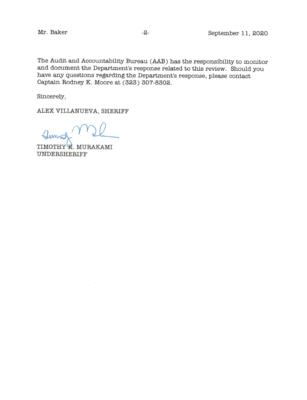Mr. Baker

The Audit and Accountability Bureau (AAB) has the responsibility to monitor and document the Department's response related to this review. Should you have any questions regarding the Department's response, please contact Captain Rodney K. Moore at (323) 307-8302.

Sincerely,

ALEX VILLANUEVA, SHERIFF

TIMOTHY R. MURAKAMI UNDERSHERIFF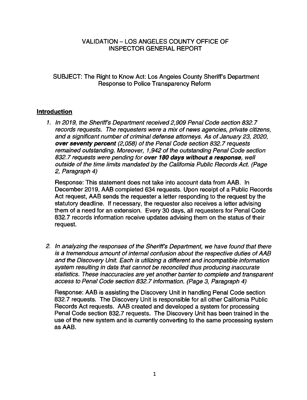#### **VALIDATION - LOS ANGELES COUNTY OFFICE OF INSPECTOR GENERAL REPORT**

SUBJECT: The Right to Know Act: Los Angeles County Sheriff's Department Response to Police Transparency Reform

#### **Introduction**

1. In 2019, the Sheriff's Department received 2,909 Penal Code section 832.7 records requests. The requesters were a mix of news agencies, private citizens, and a significant number of criminal defense attorneys. As of January 23, 2020, over seventy percent (2,058) of the Penal Code section 832.7 requests remained outstanding. Moreover, 1,942 of the outstanding Penal Code section 832.7 requests were pending for over 180 days without a response, well outside of the time limits mandated by the California Public Records Act. (Page 2. Paragraph 4)

Response: This statement does not take into account data from AAB. In December 2019, AAB completed 634 requests. Upon receipt of a Public Records Act request, AAB sends the requester a letter responding to the request by the statutory deadline. If necessary, the requester also receives a letter advising them of a need for an extension. Every 30 days, all requesters for Penal Code 832.7 records information receive updates advising them on the status of their request.

2. In analyzing the responses of the Sheriff's Department, we have found that there is a tremendous amount of internal confusion about the respective duties of AAB and the Discovery Unit. Each is utilizing a different and incompatible information system resulting in data that cannot be reconciled thus producing inaccurate statistics. These inaccuracies are yet another barrier to complete and transparent access to Penal Code section 832.7 information. (Page 3, Paragraph 4)

Response: AAB is assisting the Discovery Unit in handling Penal Code section 832.7 requests. The Discovery Unit is responsible for all other California Public Records Act requests. AAB created and developed a system for processing Penal Code section 832.7 requests. The Discovery Unit has been trained in the use of the new system and is currently converting to the same processing system as AAB.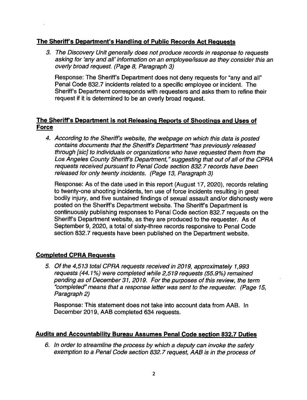#### The Sheriff's Department's Handling of Public Records Act Requests

3. The Discovery Unit generally does not produce records in response to requests asking for 'any and all' information on an employee/issue as they consider this an overly broad request. (Page 8, Paragraph 3)

Response: The Sheriff's Department does not deny requests for "any and all" Penal Code 832.7 incidents related to a specific employee or incident. The Sheriff's Department corresponds with requesters and asks them to refine their request if it is determined to be an overly broad request.

#### The Sheriff's Department is not Releasing Reports of Shootings and Uses of **Force**

4. According to the Sheriff's website, the webpage on which this data is posted contains documents that the Sheriff's Department "has previously released through [sic] to individuals or organizations who have requested them from the Los Angeles County Sheriff's Department," suggesting that out of all of the CPRA requests received pursuant to Penal Code section 832.7 records have been released for only twenty incidents. (Page 13, Paragraph 3)

Response: As of the date used in this report (August 17, 2020), records relating to twenty-one shooting incidents, ten use of force incidents resulting in great bodily injury, and five sustained findings of sexual assault and/or dishonesty were posted on the Sheriff's Department website. The Sheriff's Department is continuously publishing responses to Penal Code section 832.7 requests on the Sheriff's Department website, as they are produced to the requester. As of September 9, 2020, a total of sixty-three records responsive to Penal Code section 832.7 requests have been published on the Department website.

#### **Completed CPRA Requests**

5. Of the 4,513 total CPRA requests received in 2019, approximately 1,993 requests (44.1%) were completed while 2,519 requests (55.9%) remained pending as of December 31, 2019. For the purposes of this review, the term "completed" means that a response letter was sent to the requester. (Page 15, Paragraph 2)

Response: This statement does not take into account data from AAB. In December 2019, AAB completed 634 requests.

#### **Audits and Accountability Bureau Assumes Penal Code section 832.7 Duties**

6. In order to streamline the process by which a deputy can invoke the safety exemption to a Penal Code section 832.7 request, AAB is in the process of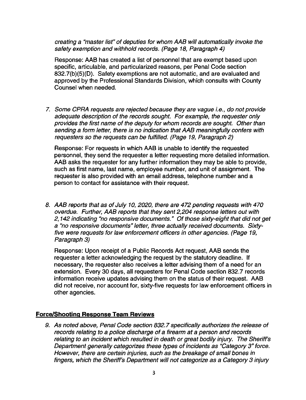creating a "master list" of deputies for whom AAB will automatically invoke the safety exemption and withhold records. (Page 18, Paragraph 4)

Response: AAB has created a list of personnel that are exempt based upon specific, articulable, and particularized reasons, per Penal Code section 832.7(b)(5)(D). Safety exemptions are not automatic, and are evaluated and approved by the Professional Standards Division, which consults with County Counsel when needed.

7. Some CPRA requests are rejected because they are vague i.e., do not provide adequate description of the records sought. For example, the requester only provides the first name of the deputy for whom records are sought. Other than sending a form letter, there is no indication that AAB meaningfully confers with requesters so the requests can be fulfilled. (Page 19, Paragraph 2)

Response: For requests in which AAB is unable to identify the requested personnel, they send the requester a letter requesting more detailed information. AAB asks the requester for any further information they may be able to provide. such as first name, last name, employee number, and unit of assignment. The requester is also provided with an email address, telephone number and a person to contact for assistance with their request.

8. AAB reports that as of July 10, 2020, there are 472 pending requests with 470 overdue. Further, AAB reports that they sent 2,204 response letters out with 2,142 indicating "no responsive documents." Of those sixty-eight that did not get a "no responsive documents" letter, three actually received documents. Sixtyfive were requests for law enforcement officers in other agencies. (Page 19, Paragraph 3)

Response: Upon receipt of a Public Records Act request, AAB sends the requester a letter acknowledging the request by the statutory deadline. If necessary, the requester also receives a letter advising them of a need for an extension. Every 30 days, all requesters for Penal Code section 832.7 records information receive updates advising them on the status of their request. AAB did not receive, nor account for, sixty-five requests for law enforcement officers in other agencies.

#### **Force/Shooting Response Team Reviews**

9. As noted above, Penal Code section 832.7 specifically authorizes the release of records relating to a police discharge of a firearm at a person and records relating to an incident which resulted in death or great bodily injury. The Sheriff's Department generally categorizes these types of incidents as "Category 3" force. However, there are certain injuries, such as the breakage of small bones in fingers, which the Sheriff's Department will not categorize as a Category 3 injury